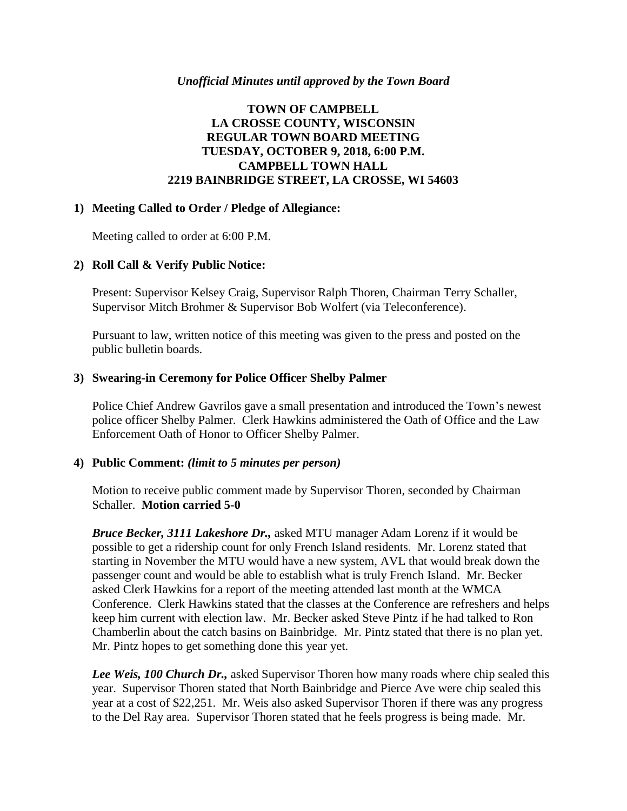#### *Unofficial Minutes until approved by the Town Board*

### **TOWN OF CAMPBELL LA CROSSE COUNTY, WISCONSIN REGULAR TOWN BOARD MEETING TUESDAY, OCTOBER 9, 2018, 6:00 P.M. CAMPBELL TOWN HALL 2219 BAINBRIDGE STREET, LA CROSSE, WI 54603**

#### **1) Meeting Called to Order / Pledge of Allegiance:**

Meeting called to order at 6:00 P.M.

#### **2) Roll Call & Verify Public Notice:**

Present: Supervisor Kelsey Craig, Supervisor Ralph Thoren, Chairman Terry Schaller, Supervisor Mitch Brohmer & Supervisor Bob Wolfert (via Teleconference).

Pursuant to law, written notice of this meeting was given to the press and posted on the public bulletin boards.

#### **3) Swearing-in Ceremony for Police Officer Shelby Palmer**

Police Chief Andrew Gavrilos gave a small presentation and introduced the Town's newest police officer Shelby Palmer. Clerk Hawkins administered the Oath of Office and the Law Enforcement Oath of Honor to Officer Shelby Palmer.

#### **4) Public Comment:** *(limit to 5 minutes per person)*

Motion to receive public comment made by Supervisor Thoren, seconded by Chairman Schaller. **Motion carried 5-0**

*Bruce Becker, 3111 Lakeshore Dr.,* asked MTU manager Adam Lorenz if it would be possible to get a ridership count for only French Island residents. Mr. Lorenz stated that starting in November the MTU would have a new system, AVL that would break down the passenger count and would be able to establish what is truly French Island. Mr. Becker asked Clerk Hawkins for a report of the meeting attended last month at the WMCA Conference. Clerk Hawkins stated that the classes at the Conference are refreshers and helps keep him current with election law. Mr. Becker asked Steve Pintz if he had talked to Ron Chamberlin about the catch basins on Bainbridge. Mr. Pintz stated that there is no plan yet. Mr. Pintz hopes to get something done this year yet.

*Lee Weis, 100 Church Dr.,* asked Supervisor Thoren how many roads where chip sealed this year. Supervisor Thoren stated that North Bainbridge and Pierce Ave were chip sealed this year at a cost of \$22,251. Mr. Weis also asked Supervisor Thoren if there was any progress to the Del Ray area. Supervisor Thoren stated that he feels progress is being made. Mr.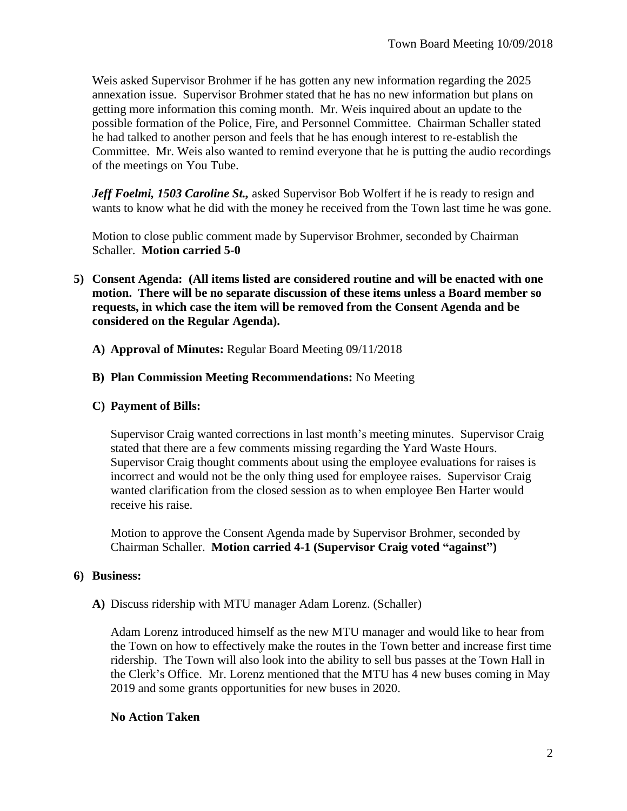Weis asked Supervisor Brohmer if he has gotten any new information regarding the 2025 annexation issue. Supervisor Brohmer stated that he has no new information but plans on getting more information this coming month. Mr. Weis inquired about an update to the possible formation of the Police, Fire, and Personnel Committee. Chairman Schaller stated he had talked to another person and feels that he has enough interest to re-establish the Committee. Mr. Weis also wanted to remind everyone that he is putting the audio recordings of the meetings on You Tube.

*Jeff Foelmi, 1503 Caroline St.,* asked Supervisor Bob Wolfert if he is ready to resign and wants to know what he did with the money he received from the Town last time he was gone.

Motion to close public comment made by Supervisor Brohmer, seconded by Chairman Schaller. **Motion carried 5-0**

- **5) Consent Agenda: (All items listed are considered routine and will be enacted with one motion. There will be no separate discussion of these items unless a Board member so requests, in which case the item will be removed from the Consent Agenda and be considered on the Regular Agenda).**
	- **A) Approval of Minutes:** Regular Board Meeting 09/11/2018

# **B) Plan Commission Meeting Recommendations:** No Meeting

### **C) Payment of Bills:**

Supervisor Craig wanted corrections in last month's meeting minutes. Supervisor Craig stated that there are a few comments missing regarding the Yard Waste Hours. Supervisor Craig thought comments about using the employee evaluations for raises is incorrect and would not be the only thing used for employee raises. Supervisor Craig wanted clarification from the closed session as to when employee Ben Harter would receive his raise.

Motion to approve the Consent Agenda made by Supervisor Brohmer, seconded by Chairman Schaller. **Motion carried 4-1 (Supervisor Craig voted "against")**

### **6) Business:**

**A)** Discuss ridership with MTU manager Adam Lorenz. (Schaller)

Adam Lorenz introduced himself as the new MTU manager and would like to hear from the Town on how to effectively make the routes in the Town better and increase first time ridership. The Town will also look into the ability to sell bus passes at the Town Hall in the Clerk's Office. Mr. Lorenz mentioned that the MTU has 4 new buses coming in May 2019 and some grants opportunities for new buses in 2020.

# **No Action Taken**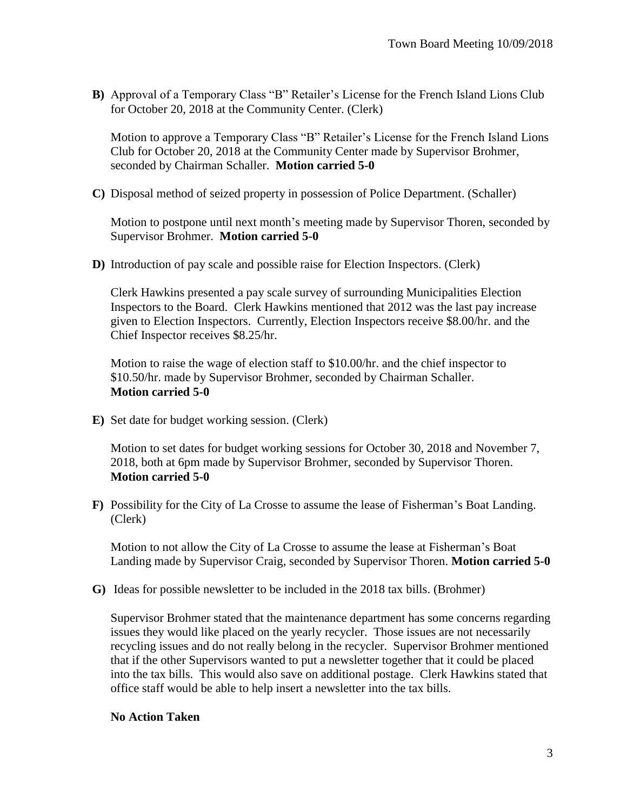**B)** Approval of a Temporary Class "B" Retailer's License for the French Island Lions Club for October 20, 2018 at the Community Center. (Clerk)

Motion to approve a Temporary Class "B" Retailer's License for the French Island Lions Club for October 20, 2018 at the Community Center made by Supervisor Brohmer, seconded by Chairman Schaller. **Motion carried 5-0**

**C)** Disposal method of seized property in possession of Police Department. (Schaller)

Motion to postpone until next month's meeting made by Supervisor Thoren, seconded by Supervisor Brohmer. **Motion carried 5-0**

**D)** Introduction of pay scale and possible raise for Election Inspectors. (Clerk)

Clerk Hawkins presented a pay scale survey of surrounding Municipalities Election Inspectors to the Board. Clerk Hawkins mentioned that 2012 was the last pay increase given to Election Inspectors. Currently, Election Inspectors receive \$8.00/hr. and the Chief Inspector receives \$8.25/hr.

Motion to raise the wage of election staff to \$10.00/hr. and the chief inspector to \$10.50/hr. made by Supervisor Brohmer, seconded by Chairman Schaller. **Motion carried 5-0**

**E)** Set date for budget working session. (Clerk)

Motion to set dates for budget working sessions for October 30, 2018 and November 7, 2018, both at 6pm made by Supervisor Brohmer, seconded by Supervisor Thoren. **Motion carried 5-0**

**F)** Possibility for the City of La Crosse to assume the lease of Fisherman's Boat Landing. (Clerk)

Motion to not allow the City of La Crosse to assume the lease at Fisherman's Boat Landing made by Supervisor Craig, seconded by Supervisor Thoren. **Motion carried 5-0**

**G)** Ideas for possible newsletter to be included in the 2018 tax bills. (Brohmer)

Supervisor Brohmer stated that the maintenance department has some concerns regarding issues they would like placed on the yearly recycler. Those issues are not necessarily recycling issues and do not really belong in the recycler. Supervisor Brohmer mentioned that if the other Supervisors wanted to put a newsletter together that it could be placed into the tax bills. This would also save on additional postage. Clerk Hawkins stated that office staff would be able to help insert a newsletter into the tax bills.

### **No Action Taken**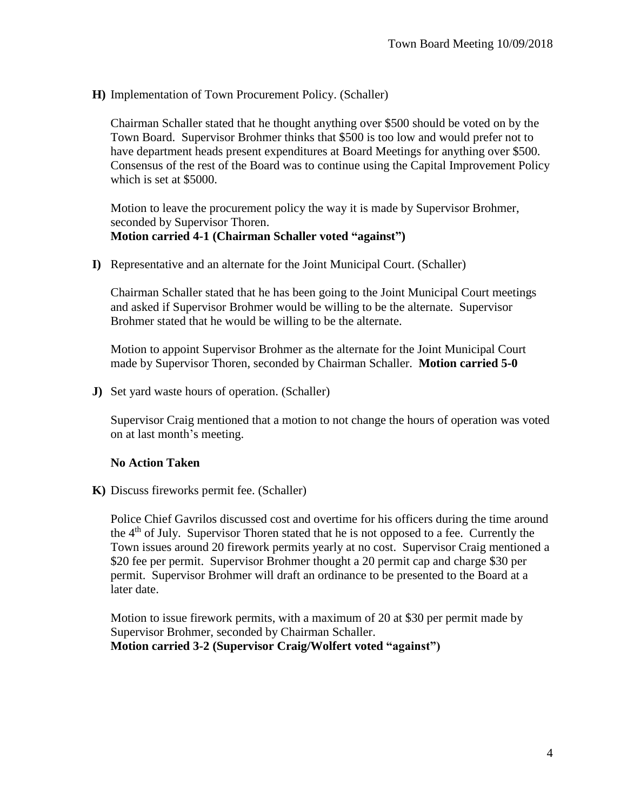**H)** Implementation of Town Procurement Policy. (Schaller)

Chairman Schaller stated that he thought anything over \$500 should be voted on by the Town Board. Supervisor Brohmer thinks that \$500 is too low and would prefer not to have department heads present expenditures at Board Meetings for anything over \$500. Consensus of the rest of the Board was to continue using the Capital Improvement Policy which is set at \$5000.

Motion to leave the procurement policy the way it is made by Supervisor Brohmer, seconded by Supervisor Thoren. **Motion carried 4-1 (Chairman Schaller voted "against")**

**I)** Representative and an alternate for the Joint Municipal Court. (Schaller)

Chairman Schaller stated that he has been going to the Joint Municipal Court meetings and asked if Supervisor Brohmer would be willing to be the alternate. Supervisor Brohmer stated that he would be willing to be the alternate.

Motion to appoint Supervisor Brohmer as the alternate for the Joint Municipal Court made by Supervisor Thoren, seconded by Chairman Schaller. **Motion carried 5-0**

**J)** Set yard waste hours of operation. (Schaller)

Supervisor Craig mentioned that a motion to not change the hours of operation was voted on at last month's meeting.

#### **No Action Taken**

**K)** Discuss fireworks permit fee. (Schaller)

Police Chief Gavrilos discussed cost and overtime for his officers during the time around the  $4<sup>th</sup>$  of July. Supervisor Thoren stated that he is not opposed to a fee. Currently the Town issues around 20 firework permits yearly at no cost. Supervisor Craig mentioned a \$20 fee per permit. Supervisor Brohmer thought a 20 permit cap and charge \$30 per permit. Supervisor Brohmer will draft an ordinance to be presented to the Board at a later date.

Motion to issue firework permits, with a maximum of 20 at \$30 per permit made by Supervisor Brohmer, seconded by Chairman Schaller. **Motion carried 3-2 (Supervisor Craig/Wolfert voted "against")**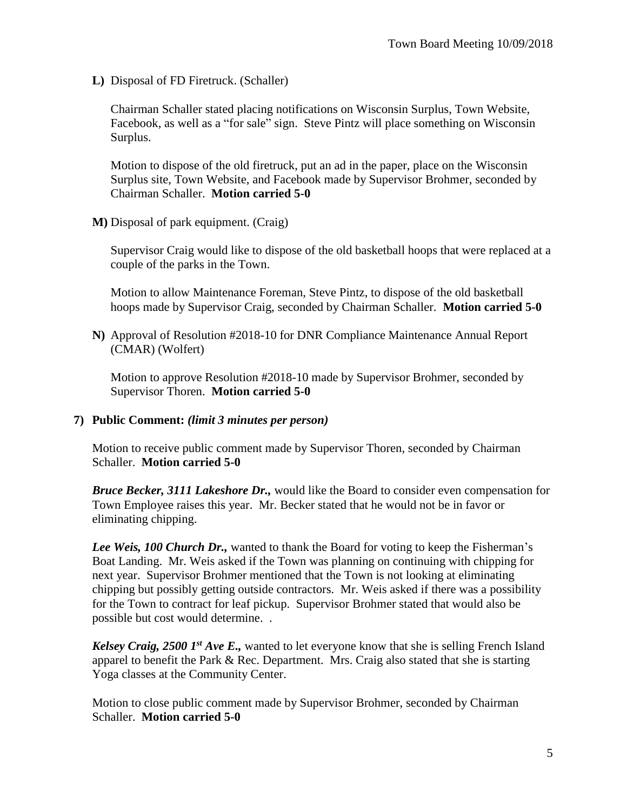**L)** Disposal of FD Firetruck. (Schaller)

Chairman Schaller stated placing notifications on Wisconsin Surplus, Town Website, Facebook, as well as a "for sale" sign. Steve Pintz will place something on Wisconsin Surplus.

Motion to dispose of the old firetruck, put an ad in the paper, place on the Wisconsin Surplus site, Town Website, and Facebook made by Supervisor Brohmer, seconded by Chairman Schaller. **Motion carried 5-0**

**M)** Disposal of park equipment. (Craig)

Supervisor Craig would like to dispose of the old basketball hoops that were replaced at a couple of the parks in the Town.

Motion to allow Maintenance Foreman, Steve Pintz, to dispose of the old basketball hoops made by Supervisor Craig, seconded by Chairman Schaller. **Motion carried 5-0**

**N)** Approval of Resolution #2018-10 for DNR Compliance Maintenance Annual Report (CMAR) (Wolfert)

Motion to approve Resolution #2018-10 made by Supervisor Brohmer, seconded by Supervisor Thoren. **Motion carried 5-0**

#### **7) Public Comment:** *(limit 3 minutes per person)*

Motion to receive public comment made by Supervisor Thoren, seconded by Chairman Schaller. **Motion carried 5-0**

*Bruce Becker, 3111 Lakeshore Dr.,* would like the Board to consider even compensation for Town Employee raises this year. Mr. Becker stated that he would not be in favor or eliminating chipping.

*Lee Weis, 100 Church Dr., wanted to thank the Board for voting to keep the Fisherman's* Boat Landing. Mr. Weis asked if the Town was planning on continuing with chipping for next year. Supervisor Brohmer mentioned that the Town is not looking at eliminating chipping but possibly getting outside contractors. Mr. Weis asked if there was a possibility for the Town to contract for leaf pickup. Supervisor Brohmer stated that would also be possible but cost would determine. .

*Kelsey Craig, 2500 1st Ave E.,* wanted to let everyone know that she is selling French Island apparel to benefit the Park & Rec. Department. Mrs. Craig also stated that she is starting Yoga classes at the Community Center.

Motion to close public comment made by Supervisor Brohmer, seconded by Chairman Schaller. **Motion carried 5-0**